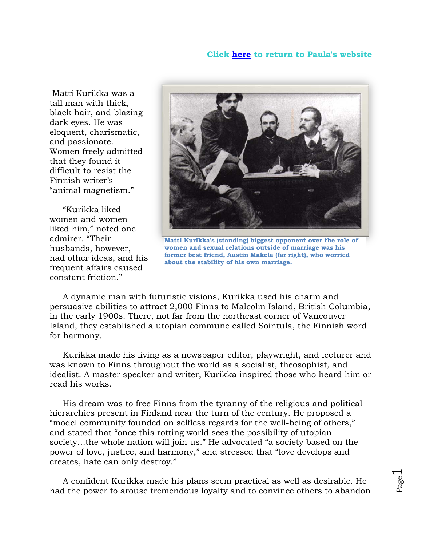## **Click [here](http://www.paulawild.ca/) to return to Paula's website**

Matti Kurikka was a tall man with thick, black hair, and blazing dark eyes. He was eloquent, charismatic, and passionate. Women freely admitted that they found it difficult to resist the Finnish writer's "animal magnetism."

 "Kurikka liked women and women liked him," noted one admirer. "Their husbands, however, had other ideas, and his frequent affairs caused constant friction."



**Matti Kurikka's (standing) biggest opponent over the role of women and sexual relations outside of marriage was his former best friend, Austin Makela (far right), who worried about the stability of his own marriage.**

 A dynamic man with futuristic visions, Kurikka used his charm and persuasive abilities to attract 2,000 Finns to Malcolm Island, British Columbia, in the early 1900s. There, not far from the northeast corner of Vancouver Island, they established a utopian commune called Sointula, the Finnish word for harmony.

 Kurikka made his living as a newspaper editor, playwright, and lecturer and was known to Finns throughout the world as a socialist, theosophist, and idealist. A master speaker and writer, Kurikka inspired those who heard him or read his works.

 His dream was to free Finns from the tyranny of the religious and political hierarchies present in Finland near the turn of the century. He proposed a "model community founded on selfless regards for the well-being of others," and stated that "once this rotting world sees the possibility of utopian society…the whole nation will join us." He advocated "a society based on the power of love, justice, and harmony," and stressed that "love develops and creates, hate can only destroy."

 A confident Kurikka made his plans seem practical as well as desirable. He had the power to arouse tremendous loyalty and to convince others to abandon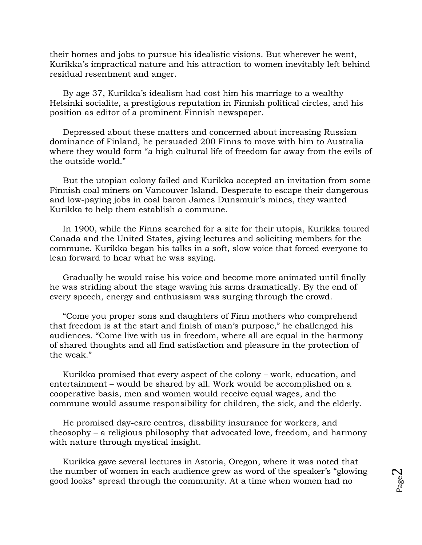their homes and jobs to pursue his idealistic visions. But wherever he went, Kurikka's impractical nature and his attraction to women inevitably left behind residual resentment and anger.

 By age 37, Kurikka's idealism had cost him his marriage to a wealthy Helsinki socialite, a prestigious reputation in Finnish political circles, and his position as editor of a prominent Finnish newspaper.

 Depressed about these matters and concerned about increasing Russian dominance of Finland, he persuaded 200 Finns to move with him to Australia where they would form "a high cultural life of freedom far away from the evils of the outside world."

 But the utopian colony failed and Kurikka accepted an invitation from some Finnish coal miners on Vancouver Island. Desperate to escape their dangerous and low-paying jobs in coal baron James Dunsmuir's mines, they wanted Kurikka to help them establish a commune.

 In 1900, while the Finns searched for a site for their utopia, Kurikka toured Canada and the United States, giving lectures and soliciting members for the commune. Kurikka began his talks in a soft, slow voice that forced everyone to lean forward to hear what he was saying.

 Gradually he would raise his voice and become more animated until finally he was striding about the stage waving his arms dramatically. By the end of every speech, energy and enthusiasm was surging through the crowd.

 "Come you proper sons and daughters of Finn mothers who comprehend that freedom is at the start and finish of man's purpose," he challenged his audiences. "Come live with us in freedom, where all are equal in the harmony of shared thoughts and all find satisfaction and pleasure in the protection of the weak."

 Kurikka promised that every aspect of the colony – work, education, and entertainment – would be shared by all. Work would be accomplished on a cooperative basis, men and women would receive equal wages, and the commune would assume responsibility for children, the sick, and the elderly.

 He promised day-care centres, disability insurance for workers, and theosophy – a religious philosophy that advocated love, freedom, and harmony with nature through mystical insight.

 Kurikka gave several lectures in Astoria, Oregon, where it was noted that the number of women in each audience grew as word of the speaker's "glowing good looks" spread through the community. At a time when women had no